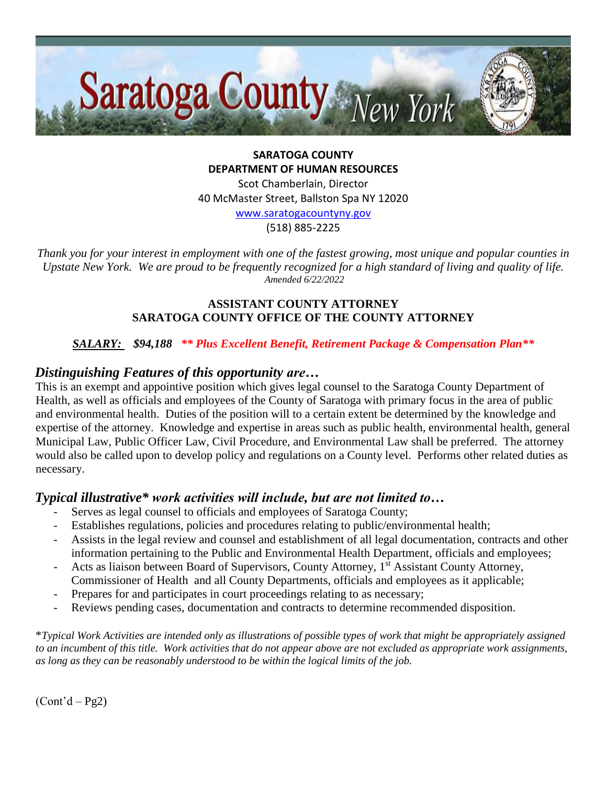

**SARATOGA COUNTY DEPARTMENT OF HUMAN RESOURCES**

Scot Chamberlain, Director 40 McMaster Street, Ballston Spa NY 12020

[www.saratogacountyny.gov](http://www.saratogacountyny.gov/)

(518) 885-2225

*Thank you for your interest in employment with one of the fastest growing, most unique and popular counties in Upstate New York. We are proud to be frequently recognized for a high standard of living and quality of life. Amended 6/22/2022* 

#### **ASSISTANT COUNTY ATTORNEY SARATOGA COUNTY OFFICE OF THE COUNTY ATTORNEY**

### *SALARY: \$94,188 \*\* Plus Excellent Benefit, Retirement Package & Compensation Plan\*\**

# *Distinguishing Features of this opportunity are…*

This is an exempt and appointive position which gives legal counsel to the Saratoga County Department of Health, as well as officials and employees of the County of Saratoga with primary focus in the area of public and environmental health. Duties of the position will to a certain extent be determined by the knowledge and expertise of the attorney. Knowledge and expertise in areas such as public health, environmental health, general Municipal Law, Public Officer Law, Civil Procedure, and Environmental Law shall be preferred. The attorney would also be called upon to develop policy and regulations on a County level. Performs other related duties as necessary.

# *Typical illustrative\* work activities will include, but are not limited to…*

- Serves as legal counsel to officials and employees of Saratoga County;
- Establishes regulations, policies and procedures relating to public/environmental health;
- Assists in the legal review and counsel and establishment of all legal documentation, contracts and other information pertaining to the Public and Environmental Health Department, officials and employees;
- Acts as liaison between Board of Supervisors, County Attorney, 1<sup>st</sup> Assistant County Attorney, Commissioner of Health and all County Departments, officials and employees as it applicable;
- Prepares for and participates in court proceedings relating to as necessary;
- Reviews pending cases, documentation and contracts to determine recommended disposition.

\**Typical Work Activities are intended only as illustrations of possible types of work that might be appropriately assigned to an incumbent of this title. Work activities that do not appear above are not excluded as appropriate work assignments, as long as they can be reasonably understood to be within the logical limits of the job.*

 $(Cont<sup>3</sup>d – Pg2)$